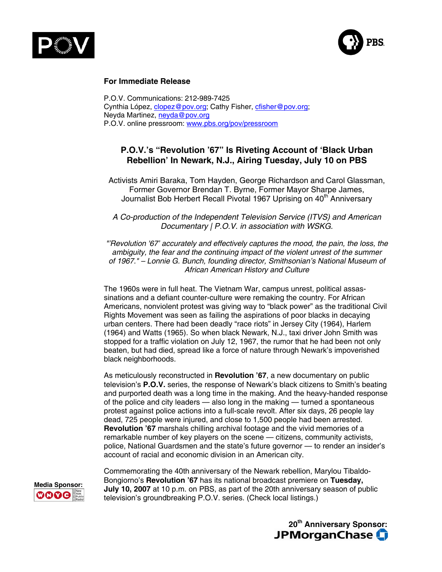



#### **For Immediate Release**

P.O.V. Communications: 212-989-7425 Cynthia López, [clopez@pov.org;](mailto:clopez@pov.org) Cathy Fisher, [cfisher@pov.org;](mailto:cfisher@pov.org) Neyda Martinez, [neyda@pov.org](mailto:neyda@pov.org) P.O.V. online pressroom: [www.pbs.org/pov/pressroom](http://www.pbs.org/pov/pressroom)

# **P.O.V.'s "Revolution '67" Is Riveting Account of 'Black Urban Rebellion' In Newark, N.J., Airing Tuesday, July 10 on PBS**

Activists Amiri Baraka, Tom Hayden, George Richardson and Carol Glassman, Former Governor Brendan T. Byrne, Former Mayor Sharpe James, Journalist Bob Herbert Recall Pivotal 1967 Uprising on 40<sup>th</sup> Anniversary

*A Co-production of the Independent Television Service (ITVS) and American Documentary | P.O.V. in association with WSKG.*

*"'Revolution '67' accurately and effectively captures the mood, the pain, the loss, the ambiguity, the fear and the continuing impact of the violent unrest of the summer of 1967." – Lonnie G. Bunch, founding director, Smithsonian's National Museum of African American History and Culture*

The 1960s were in full heat. The Vietnam War, campus unrest, political assassinations and a defiant counter-culture were remaking the country. For African Americans, nonviolent protest was giving way to "black power" as the traditional Civil Rights Movement was seen as failing the aspirations of poor blacks in decaying urban centers. There had been deadly "race riots" in Jersey City (1964), Harlem (1964) and Watts (1965). So when black Newark, N.J., taxi driver John Smith was stopped for a traffic violation on July 12, 1967, the rumor that he had been not only beaten, but had died, spread like a force of nature through Newark's impoverished black neighborhoods.

As meticulously reconstructed in **Revolution '67**, a new documentary on public television's **P.O.V.** series, the response of Newark's black citizens to Smith's beating and purported death was a long time in the making. And the heavy-handed response of the police and city leaders — also long in the making — turned a spontaneous protest against police actions into a full-scale revolt. After six days, 26 people lay dead, 725 people were injured, and close to 1,500 people had been arrested. **Revolution '67** marshals chilling archival footage and the vivid memories of a remarkable number of key players on the scene — citizens, community activists, police, National Guardsmen and the state's future governor — to render an insider's account of racial and economic division in an American city.

Commemorating the 40th anniversary of the Newark rebellion, Marylou Tibaldo-**Bongiorno's Revolution '67** has its national broadcast premiere on **Tuesday,**<br>**MOOO at 10** p.m. on PBS, as part of the 20th anniversary season of public<br>**MOOO** television's groundbreaking P.O.V. series (Check local list television's groundbreaking P.O.V. series. (Check local listings.)



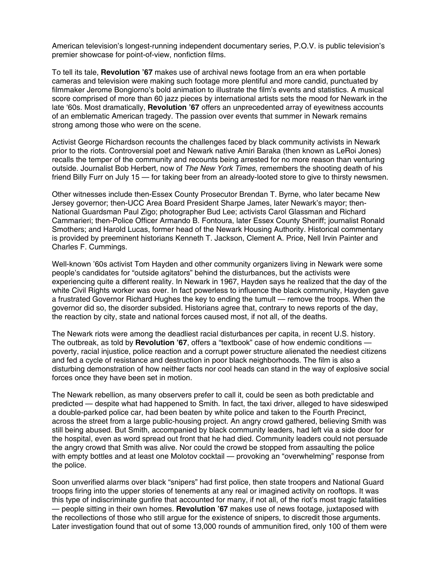American television's longest-running independent documentary series, P.O.V. is public television's premier showcase for point-of-view, nonfiction films.

To tell its tale, **Revolution '67** makes use of archival news footage from an era when portable cameras and television were making such footage more plentiful and more candid, punctuated by filmmaker Jerome Bongiorno's bold animation to illustrate the film's events and statistics. A musical score comprised of more than 60 jazz pieces by international artists sets the mood for Newark in the late '60s. Most dramatically, **Revolution '67** offers an unprecedented array of eyewitness accounts of an emblematic American tragedy. The passion over events that summer in Newark remains strong among those who were on the scene.

Activist George Richardson recounts the challenges faced by black community activists in Newark prior to the riots. Controversial poet and Newark native Amiri Baraka (then known as LeRoi Jones) recalls the temper of the community and recounts being arrested for no more reason than venturing outside. Journalist Bob Herbert, now of *The New York Times*, remembers the shooting death of his friend Billy Furr on July 15 — for taking beer from an already-looted store to give to thirsty newsmen.

Other witnesses include then-Essex County Prosecutor Brendan T. Byrne, who later became New Jersey governor; then-UCC Area Board President Sharpe James, later Newark's mayor; then-National Guardsman Paul Zigo; photographer Bud Lee; activists Carol Glassman and Richard Cammarieri; then-Police Officer Armando B. Fontoura, later Essex County Sheriff; journalist Ronald Smothers; and Harold Lucas, former head of the Newark Housing Authority. Historical commentary is provided by preeminent historians Kenneth T. Jackson, Clement A. Price, Nell Irvin Painter and Charles F. Cummings.

Well-known '60s activist Tom Hayden and other community organizers living in Newark were some people's candidates for "outside agitators" behind the disturbances, but the activists were experiencing quite a different reality. In Newark in 1967, Hayden says he realized that the day of the white Civil Rights worker was over. In fact powerless to influence the black community, Hayden gave a frustrated Governor Richard Hughes the key to ending the tumult — remove the troops. When the governor did so, the disorder subsided. Historians agree that, contrary to news reports of the day, the reaction by city, state and national forces caused most, if not all, of the deaths.

The Newark riots were among the deadliest racial disturbances per capita, in recent U.S. history. The outbreak, as told by **Revolution '67**, offers a "textbook" case of how endemic conditions poverty, racial injustice, police reaction and a corrupt power structure alienated the neediest citizens and fed a cycle of resistance and destruction in poor black neighborhoods. The film is also a disturbing demonstration of how neither facts nor cool heads can stand in the way of explosive social forces once they have been set in motion.

The Newark rebellion, as many observers prefer to call it, could be seen as both predictable and predicted — despite what had happened to Smith. In fact, the taxi driver, alleged to have sideswiped a double-parked police car, had been beaten by white police and taken to the Fourth Precinct, across the street from a large public-housing project. An angry crowd gathered, believing Smith was still being abused. But Smith, accompanied by black community leaders, had left via a side door for the hospital, even as word spread out front that he had died. Community leaders could not persuade the angry crowd that Smith was alive. Nor could the crowd be stopped from assaulting the police with empty bottles and at least one Molotov cocktail — provoking an "overwhelming" response from the police.

Soon unverified alarms over black "snipers" had first police, then state troopers and National Guard troops firing into the upper stories of tenements at any real or imagined activity on rooftops. It was this type of indiscriminate gunfire that accounted for many, if not all, of the riot's most tragic fatalities — people sitting in their own homes. **Revolution '67** makes use of news footage, juxtaposed with the recollections of those who still argue for the existence of snipers, to discredit those arguments. Later investigation found that out of some 13,000 rounds of ammunition fired, only 100 of them were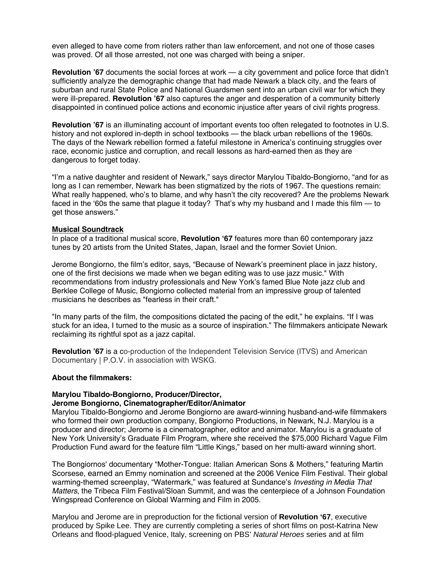even alleged to have come from rioters rather than law enforcement, and not one of those cases was proved. Of all those arrested, not one was charged with being a sniper.

**Revolution '67** documents the social forces at work — a city government and police force that didn't sufficiently analyze the demographic change that had made Newark a black city, and the fears of suburban and rural State Police and National Guardsmen sent into an urban civil war for which they were ill-prepared. **Revolution '67** also captures the anger and desperation of a community bitterly disappointed in continued police actions and economic injustice after years of civil rights progress.

**Revolution '67** is an illuminating account of important events too often relegated to footnotes in U.S. history and not explored in-depth in school textbooks — the black urban rebellions of the 1960s. The days of the Newark rebellion formed a fateful milestone in America's continuing struggles over race, economic justice and corruption, and recall lessons as hard-earned then as they are dangerous to forget today.

"I'm a native daughter and resident of Newark," says director Marylou Tibaldo-Bongiorno, "and for as long as I can remember, Newark has been stigmatized by the riots of 1967. The questions remain: What really happened, who's to blame, and why hasn't the city recovered? Are the problems Newark faced in the '60s the same that plague it today? That's why my husband and I made this film — to get those answers."

#### **Musical Soundtrack**

In place of a traditional musical score, **Revolution '67** features more than 60 contemporary jazz tunes by 20 artists from the United States, Japan, Israel and the former Soviet Union.

Jerome Bongiorno, the film's editor, says, "Because of Newark's preeminent place in jazz history, one of the first decisions we made when we began editing was to use jazz music." With recommendations from industry professionals and New York's famed Blue Note jazz club and Berklee College of Music, Bongiorno collected material from an impressive group of talented musicians he describes as "fearless in their craft."

"In many parts of the film, the compositions dictated the pacing of the edit," he explains. "If I was stuck for an idea, I turned to the music as a source of inspiration." The filmmakers anticipate Newark reclaiming its rightful spot as a jazz capital.

**Revolution '67** is a co-production of the Independent Television Service (ITVS) and American Documentary | P.O.V. in association with WSKG.

#### **About the filmmakers:**

# **Marylou Tibaldo-Bongiorno, Producer/Director,**

### **Jerome Bongiorno, Cinematographer/Editor/Animator**

Marylou Tibaldo-Bongiorno and Jerome Bongiorno are award-winning husband-and-wife filmmakers who formed their own production company, Bongiorno Productions, in Newark, N.J. Marylou is a producer and director; Jerome is a cinematographer, editor and animator. Marylou is a graduate of New York University's Graduate Film Program, where she received the \$75,000 Richard Vague Film Production Fund award for the feature film "Little Kings," based on her multi-award winning short.

The Bongiornos' documentary "Mother-Tongue: Italian American Sons & Mothers," featuring Martin Scorsese, earned an Emmy nomination and screened at the 2006 Venice Film Festival. Their global warming-themed screenplay, "Watermark," was featured at Sundance's *Investing in Media That Matters,* the Tribeca Film Festival/Sloan Summit, and was the centerpiece of a Johnson Foundation Wingspread Conference on Global Warming and Film in 2005.

Marylou and Jerome are in preproduction for the fictional version of **Revolution '67**, executive produced by Spike Lee. They are currently completing a series of short films on post-Katrina New Orleans and flood-plagued Venice, Italy, screening on PBS' *Natural Heroes* series and at film